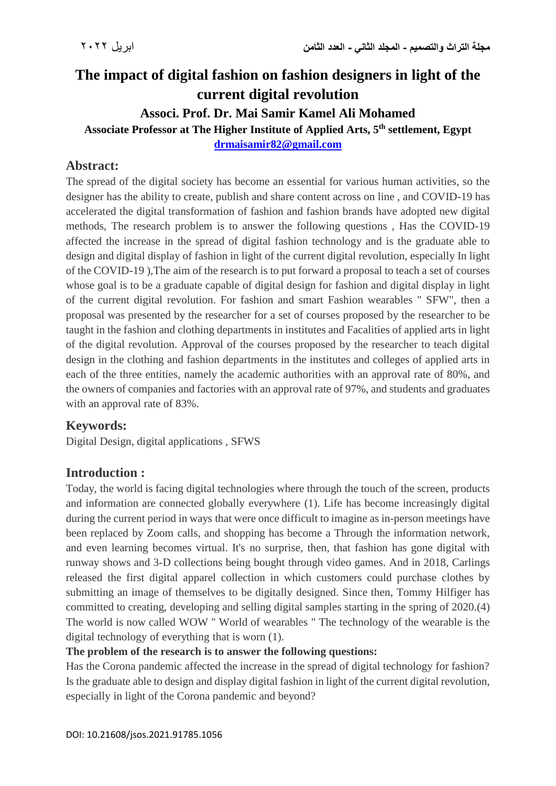# **The impact of digital fashion on fashion designers in light of the current digital revolution**

#### **Associ. Prof. Dr. Mai Samir Kamel Ali Mohamed**

**Associate Professor at The Higher Institute of Applied Arts, 5th settlement, Egypt [drmaisamir82@gmail.com](mailto:drmaisamir82@gmail.com)**

### **Abstract:**

The spread of the digital society has become an essential for various human activities, so the designer has the ability to create, publish and share content across on line , and COVID-19 has accelerated the digital transformation of fashion and fashion brands have adopted new digital methods, The research problem is to answer the following questions , Has the COVID-19 affected the increase in the spread of digital fashion technology and is the graduate able to design and digital display of fashion in light of the current digital revolution, especially In light of the COVID-19 ),The aim of the research is to put forward a proposal to teach a set of courses whose goal is to be a graduate capable of digital design for fashion and digital display in light of the current digital revolution. For fashion and smart Fashion wearables " SFW", then a proposal was presented by the researcher for a set of courses proposed by the researcher to be taught in the fashion and clothing departments in institutes and Facalities of applied arts in light of the digital revolution. Approval of the courses proposed by the researcher to teach digital design in the clothing and fashion departments in the institutes and colleges of applied arts in each of the three entities, namely the academic authorities with an approval rate of 80%, and the owners of companies and factories with an approval rate of 97%, and students and graduates with an approval rate of 83%.

#### **Keywords:**

Digital Design, digital applications , SFWS

#### **Introduction :**

Today, the world is facing digital technologies where through the touch of the screen, products and information are connected globally everywhere (1). Life has become increasingly digital during the current period in ways that were once difficult to imagine as in-person meetings have been replaced by Zoom calls, and shopping has become a Through the information network, and even learning becomes virtual. It's no surprise, then, that fashion has gone digital with runway shows and 3-D collections being bought through video games. And in 2018, Carlings released the first digital apparel collection in which customers could purchase clothes by submitting an image of themselves to be digitally designed. Since then, Tommy Hilfiger has committed to creating, developing and selling digital samples starting in the spring of 2020.(4) The world is now called WOW " World of wearables " The technology of the wearable is the digital technology of everything that is worn (1).

#### **The problem of the research is to answer the following questions:**

Has the Corona pandemic affected the increase in the spread of digital technology for fashion? Is the graduate able to design and display digital fashion in light of the current digital revolution, especially in light of the Corona pandemic and beyond?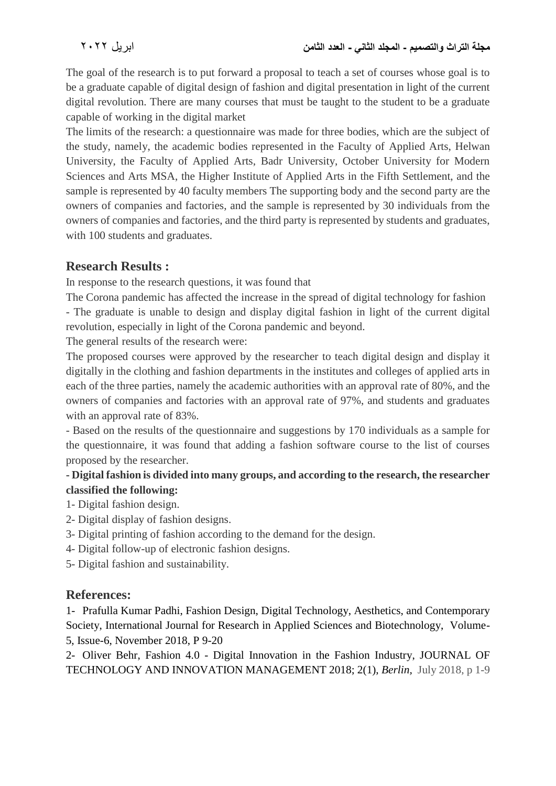The goal of the research is to put forward a proposal to teach a set of courses whose goal is to be a graduate capable of digital design of fashion and digital presentation in light of the current digital revolution. There are many courses that must be taught to the student to be a graduate capable of working in the digital market

The limits of the research: a questionnaire was made for three bodies, which are the subject of the study, namely, the academic bodies represented in the Faculty of Applied Arts, Helwan University, the Faculty of Applied Arts, Badr University, October University for Modern Sciences and Arts MSA, the Higher Institute of Applied Arts in the Fifth Settlement, and the sample is represented by 40 faculty members The supporting body and the second party are the owners of companies and factories, and the sample is represented by 30 individuals from the owners of companies and factories, and the third party is represented by students and graduates, with 100 students and graduates.

## **Research Results :**

In response to the research questions, it was found that

The Corona pandemic has affected the increase in the spread of digital technology for fashion - The graduate is unable to design and display digital fashion in light of the current digital revolution, especially in light of the Corona pandemic and beyond.

The general results of the research were:

The proposed courses were approved by the researcher to teach digital design and display it digitally in the clothing and fashion departments in the institutes and colleges of applied arts in each of the three parties, namely the academic authorities with an approval rate of 80%, and the owners of companies and factories with an approval rate of 97%, and students and graduates with an approval rate of 83%.

- Based on the results of the questionnaire and suggestions by 170 individuals as a sample for the questionnaire, it was found that adding a fashion software course to the list of courses proposed by the researcher.

#### **- Digital fashion is divided into many groups, and according to the research, the researcher classified the following:**

- 1- Digital fashion design.
- 2- Digital display of fashion designs.
- 3- Digital printing of fashion according to the demand for the design.
- 4- Digital follow-up of electronic fashion designs.
- 5- Digital fashion and sustainability.

## **References:**

1- Prafulla Kumar Padhi, Fashion Design, Digital Technology, Aesthetics, and Contemporary Society, International Journal for Research in Applied Sciences and Biotechnology, Volume-5, Issue-6, November 2018, P 9-20

2- Oliver Behr, Fashion 4.0 - Digital Innovation in the Fashion Industry, JOURNAL OF TECHNOLOGY AND INNOVATION MANAGEMENT 2018; 2(1), *Berlin,* July 2018, p 1-9